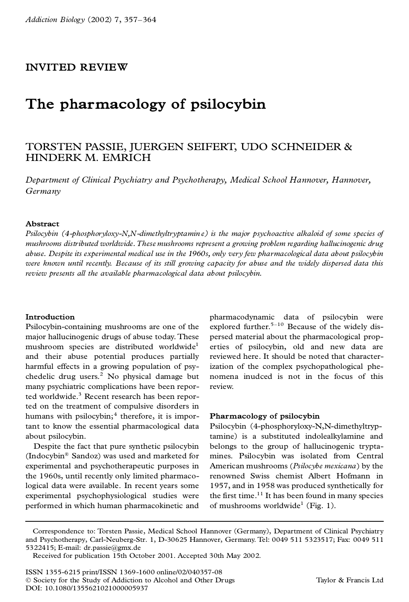# **INVITED REVIEW**

# **The pharmacology of psilocybin**

## TORSTEN PASSIE, JUERGEN SEIFERT, UDO SCHNEIDER & HINDERK M.EMRICH

*Department of Clinical Psychiatry and Psychotherapy, Medical School Hannover, Hannover, Germany*

#### **Abstract**

*Psilocybin (4-phosphoryloxy-N,N-dimethyltryptamin e) is the major psychoactive alkaloid of some species of mushrooms distributed worldwide. These mushrooms represent a growing problem regarding hallucinogenic drug abuse. Despite its experimental medical use in the 1960s, only very few pharmacological data about psilocybin were known until recently. Because of its still growing capacity for abuse and the widely dispersed data this review presents all the available pharmacological data about psilocybin.*

#### **Introduction**

Psilocybin-containing mushrooms are one of the major hallucinogenic drugs of abuse today. These mushroom species are distributed worldwide<sup>1</sup> and their abuse potential produces partially harmful effects in a growing population of psychedelic drug users.<sup>2</sup> No physical damage but many psychiatric complications have been reported worldwide.<sup>3</sup> Recent research has been reported on the treatment of compulsive disorders in humans with psilocybin;<sup>4</sup> therefore, it is important to know the essential pharmacological data about psilocybin.

Despite the fact that pure synthetic psilocybin (Indocybin® Sandoz) was used and marketed for experimental and psychotherapeutic purposes in the 1960s, until recently only limited pharmacological data were available. In recent years some experimental psychophysiological studies were performed in which human pharmacokinetic and pharmacodynamic data of psilocybin were explored further. $5-10$  Because of the widely dispersed material about the pharmacological properties of psilocybin, old and new data are reviewed here. It should be noted that characterization of the complex psychopathological phe nomena inudced is not in the focus of this review.

#### **Pharmacology of psilocybin**

Psilocybin (4-phosphoryloxy-N,N-dimethyltryptamine) is a substituted indolealkylamine and belongs to the group of hallucinogenic tryptamines. Psilocybin was isolated from Central American mushrooms (*Psilocybe mexicana*) by the renowned Swiss chemist Albert Hofmann in 1957, and in 1958 was produced synthetically for the first time. $11$  It has been found in many species of mushrooms worldwide<sup>1</sup> (Fig. 1).

Correspondence to: Torsten Passie, Medical School Hannover (Germany), Department of Clinical Psychiatry and Psychotherapy, Carl-Neuberg-Str. 1, D-30625 Hannover, Germany. Tel: 0049 511 5323517; Fax: 0049 511 5322415; E-mail: dr.passie@gmx.de

Received for publication 15th October 2001. Accepted 30th May 2002.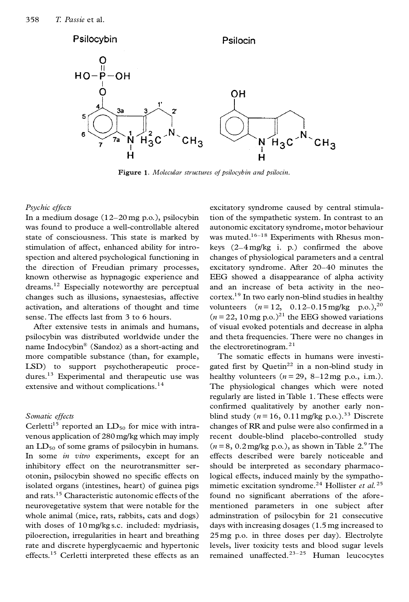

**Figure 1.** *Molecular structures of psilocybin and psilocin*.

#### *Psychic effects*

In a medium dosage (12–20 mg p.o.), psilocybin was found to produce a well-controllable altered state of consciousness. This state is marked by stimulation of affect, enhanced ability for introspection and altered psychological functioning in the direction of Freudian primary processes, known otherwise as hypnagogic experience and dreams.<sup>12</sup> Especially noteworthy are perceptual changes such as illusions, synaestesias, affective activation, and alterations of thought and time sense. The effects last from 3 to 6 hours.

After extensive tests in animals and humans, psilocybin was distributed worldwide under the name Indocybin® (Sandoz) as a short-acting and more compatible substance (than, for example, LSD) to support psychotherapeutic procedures.<sup>13</sup> Experimental and therapeutic use was extensive and without complications.<sup>14</sup>

## *Somatic effects*

Cerletti<sup>15</sup> reported an  $LD_{50}$  for mice with intravenous application of 280 mg/kg which may imply an  $LD_{50}$  of some grams of psilocybin in humans. In some *in vitro* experiments, except for an inhibitory effect on the neurotransmitter ser otonin, psilocybin showed no specific effects on isolated organs (intestines, heart) of guinea pigs and rats.<sup>15</sup> Characteristic autonomic effects of the neurovegetative system that were notable for the whole animal (mice, rats, rabbits, cats and dogs) with doses of 10 mg/kg s.c. included: mydriasis, piloerection, irregularities in heart and breathing rate and discrete hyperglycaemic and hypertonic effects.<sup>15</sup> Cerletti interpreted these effects as an

excitatory syndrome caused by central stimulation of the sympathetic system. In contrast to an autonomic excitatory syndrome, motor behaviour was muted.<sup>16–18</sup> Experiments with Rhesus monkeys (2–4 mg/kg i. p.) confirmed the above changes of physiological parameters and a central excitatory syndrome. After 20–40 minutes the EEG showed a disappearance of alpha activity and an increase of beta activity in the neo cortex.<sup>19</sup> In two early non-blind studies in healthy volunteers  $(n=12, 0.12-0.15 \text{ mg/kg} \text{ p.o.})$ ,<sup>20</sup>  $(n=22, 10 \text{ mg p.o.})^{21}$  the EEG showed variations of visual evoked potentials and decrease in alpha and theta frequencies. There were no changes in the electroretinogram.<sup>21</sup>

The somatic effects in humans were investigated first by Quetin $^{22}$  in a non-blind study in healthy volunteers  $(n=29, 8-12 \text{ mg p.o.}, \text{ i.m.}).$ The physiological changes which were noted regularly are listed in Table 1. These effects were confirmed qualitatively by another early non blind study ( $n = 16$ , 0.11 mg/kg p.o.).<sup>33</sup> Discrete changes of RR and pulse were also confirmed in a recent double-blind placebo-controlled study  $(n=8, 0.2 \text{ mg/kg p.o.})$ , as shown in Table  $2.^9$  The effects described were barely noticeable and should be interpreted as secondary pharmacological effects, induced mainly by the sympathomimetic excitation syndrome.<sup>24</sup> Hollister *et al.*<sup>25</sup> found no significant aberrations of the aforementioned parameters in one subject after adminstration of psilocybin for 21 consecutive days with increasing dosages (1.5 mg increased to 25mg p.o. in three doses per day). Electrolyte levels, liver toxicity tests and blood sugar levels remained unaffected. $23-25$  Human leucocytes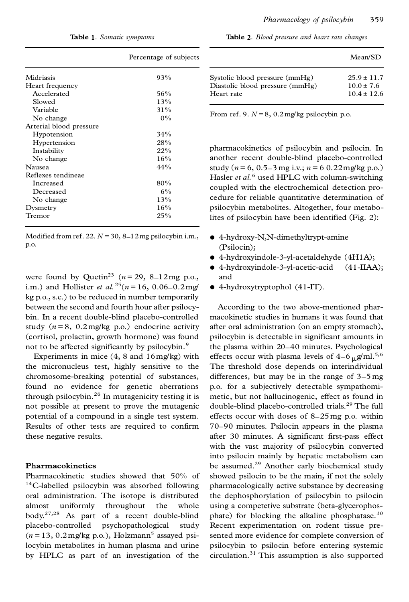**Table 1.** *Somatic symptoms*

|                         | Percentage of subjects |  |
|-------------------------|------------------------|--|
| Midriasis               | 93%                    |  |
| Heart frequency         |                        |  |
| Accelerated             | 56%                    |  |
| Slowed                  | 13%                    |  |
| Variable                | 31%                    |  |
| No change               | $0\%$                  |  |
| Arterial blood pressure |                        |  |
| Hypotension             | 34%                    |  |
| Hypertension            | 28%                    |  |
| Instability             | 22%                    |  |
| No change               | 16%                    |  |
| Nausea                  | 44%                    |  |
| Reflexes tendineae      |                        |  |
| Increased               | 80%                    |  |
| Decreased               | $6\%$                  |  |
| No change               | 13%                    |  |
| Dysmetry                | 16%                    |  |
| Tremor                  | 25%                    |  |

Modified from ref. 22.  $N = 30$ ,  $8-12$  mg psilocybin i.m., p.o.

were found by Quetin<sup>23</sup> ( $n = 29$ , 8–12mg p.o., i.m.) and Hollister *et al.*<sup>25</sup>( $n = 16$ , 0.06–0.2mg/ kg p.o., s.c.) to be reduced in number temporarily between the second and fourth hour after psilocybin. In a recent double-blind placebo-controlled study  $(n=8, 0.2 \text{ mg/kg} \text{ p.o.})$  endocrine activity (cortisol, prolactin, growth hormone) was found not to be affected significantly by psilocybin.<sup>9</sup>

Experiments in mice (4, 8 and 16mg/kg) with the micronucleus test, highly sensitive to the chromosome-breaking potential of substances, found no evidence for genetic aberrations through psilocybin.<sup>26</sup> In mutagenicity testing it is not possible at present to prove the mutagenic potential of a compound in a single test system. Results of other tests are required to confirm these negative results.

#### **Pharmacokinetics**

Pharmacokinetic studies showed that 50% of <sup>14</sup>C-labelled psilocybin was absorbed following oral administration. The isotope is distributed almost uniformly throughout the whole body.27,28 As part of a recent double-blind placebo-controlled psychopathological study  $(n=13, 0.2 \,\text{mg/kg} \,\text{p.o.})$ , Holzmann<sup>5</sup> assayed psilocybin metabolites in human plasma and urine by HPLC as part of an investigation of the

**Table 2.** *Blood pressure and heart rate changes*

|                                 | Mean/SD         |
|---------------------------------|-----------------|
| Systolic blood pressure (mmHg)  | $25.9 \pm 11.7$ |
| Diastolic blood pressure (mmHg) | $10.0 \pm 7.6$  |
| Heart rate                      | $10.4 + 12.6$   |

From ref. 9.  $N = 8$ , 0.2 mg/kg psilocybin p.o.

pharmacokinetics of psilocybin and psilocin. In another recent double-blind placebo-controlled study ( $n = 6$ , 0.5–3 mg i.v.;  $n = 6$  0.22 mg/kg p.o.) Hasler *et al.*<sup>6</sup> used HPLC with column-switching coupled with the electrochemical detection procedure for reliable quantitative determination of psilocybin metabolites. Altogether, four metabolites of psilocybin have been identified (Fig. 2):

- d 4-hydroxy-N,N-dimethyltrypt-amine (Psilocin);
- d 4-hydroxyindole-3-yl-acetaldehyde (4H1A);
- d 4-hydroxyindole-3-yl-acetic-acid (41-IIAA); and
- d 4-hydroxytryptophol (41-IT).

According to the two above-mentioned pharmacokinetic studies in humans it was found that after oral administration (on an empty stomach), psilocybin is detectable in significant amounts in the plasma within 20–40 minutes. Psychological effects occur with plasma levels of  $4-6 \mu g/ml^{5,6}$ The threshold dose depends on interindividual differences, but may be in the range of 3–5 mg p.o. for a subjectively detectable sympathomimetic, but not hallucinogenic, effect as found in double-blind placebo-controlled trials.<sup>29</sup> The full effects occur with doses of 8–25 mg p.o. within 70–90 minutes. Psilocin appears in the plasma after 30 minutes. A significant first-pass effect with the vast majority of psilocybin converted into psilocin mainly by hepatic metabolism can be assumed.<sup>29</sup> Another early biochemical study showed psilocin to be the main, if not the solely pharmacologically active substance by decreasing the dephosphorylation of psilocybin to psilocin using a competetive substrate (beta-glycerophosphate) for blocking the alkaline phosphatase. $30$ Recent experimentation on rodent tissue presented more evidence for complete conversion of psilocybin to psilocin before entering systemic circulation.<sup>31</sup> This assumption is also supported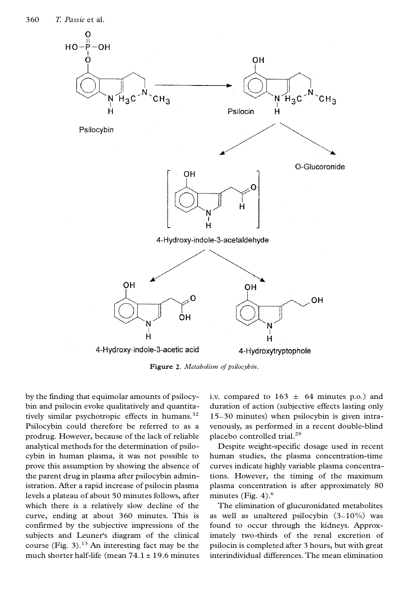

**Figure 2.** *Metabolism of psilocybin*.

by the finding that equimolar amounts of psilocybin and psilocin evoke qualitatively and quantitatively similar psychotropic effects in humans.<sup>32</sup> Psilocybin could therefore be referred to as a prodrug. However, because of the lack of reliable analytical methods for the determination of psilocybin in human plasma, it was not possible to prove this assumption by showing the absence of the parent drug in plasma after psilocybin administration. After a rapid increase of psilocin plasma levels a plateau of about 50 minutes follows, after which there is a relatively slow decline of the curve, ending at about 360 minutes. This is confirmed by the subjective impressions of the subjects and Leuner's diagram of the clinical course (Fig.  $3$ ).<sup>13</sup> An interesting fact may be the much shorter half-life (mean  $74.1 \pm 19.6$  minutes i.v. compared to  $163 \pm 64$  minutes p.o.) and duration of action (subjective effects lasting only 15–30 minutes) when psilocybin is given intravenously, as performed in a recent double-blind placebo controlled trial.<sup>29</sup>

Despite weight-specific dosage used in recent human studies, the plasma concentration-time curves indicate highly variable plasma concentrations. However, the timing of the maximum plasma concentration is after approximately 80 minutes (Fig.  $4$ ).<sup>6</sup>

The elimination of glucuronidated metabolites as well as unaltered psilocybin  $(3-10\%)$  was found to occur through the kidneys. Approximately two-thirds of the renal excretion of psilocin is completed after 3 hours, but with great interindividual differences. The mean elimination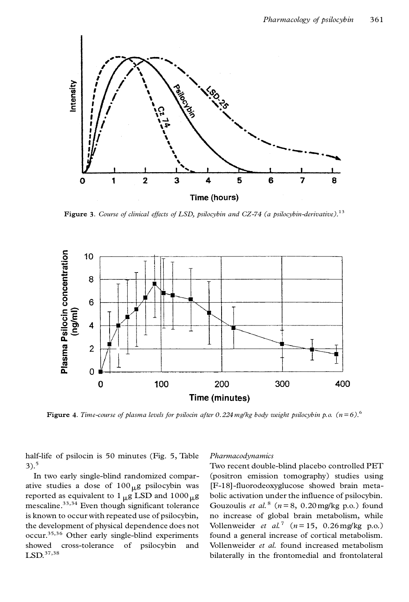

**Figure 3.** *Course of clinical effects of LSD, psilocybin and CZ-74 (a psilocybin-derivative)*.<sup>13</sup>



**Figure 4.** *Time-course of plasma levels for psilocin after 0.224mg/kg body weight psilocybin p.o. (n= 6)*.<sup>6</sup>

half-life of psilocin is 50 minutes (Fig. 5, Table  $3)$ .<sup>5</sup>

In two early single-blind randomized comparative studies a dose of  $100_{\mu}$ g psilocybin was reported as equivalent to 1  $_{\mu}$ g LSD and 1000  $_{\mu}$ g mescaline. $33,34$  Even though significant tolerance is known to occur with repeated use of psilocybin, the development of physical dependence does not occur.35,36 Other early single-blind experiments showed cross-tolerance of psilocybin and LSD.<sup>37,38</sup>

#### *Pharmacodynamics*

Two recent double-blind placebo controlled PET (positron emission tomography) studies using [F-18]-fluorodeoxyglucose showed brain metabolic activation under the influence of psilocybin. Gouzoulis *et al.*<sup>8</sup> ( $n = 8$ , 0.20 mg/kg p.o.) found no increase of global brain metabolism, while Vollenweider *et al.*<sup>7</sup> ( $n = 15$ , 0.26 mg/kg p.o.) found a general increase of cortical metabolism. Vollenweider *et al.* found increased metabolism bilaterally in the frontomedial and frontolateral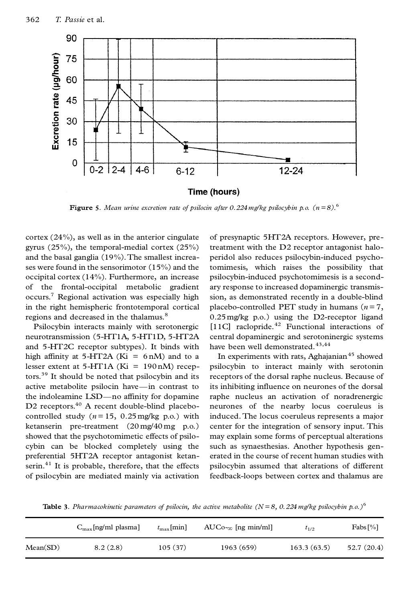

**Figure 5**. Mean urine excretion rate of psilocin after 0.224 mg/kg psilocybin p.o.  $(n=8)$ .<sup>6</sup>

cortex (24%), as well as in the anterior cingulate gyrus (25%), the temporal-medial cortex (25%) and the basal ganglia (19%).The smallest increases were found in the sensorimotor (15%) and the occipital cortex (14%). Furthermore, an increase of the frontal-occipital metabolic gradient occurs.<sup>7</sup> Regional activation was especially high in the right hemispheric frontotemporal cortical regions and decreased in the thalamus.<sup>8</sup>

Psilocybin interacts mainly with serotonergic neurotransmission (5-HT1A, 5-HT1D, 5-HT2A and 5-HT2C receptor subtypes). It binds with high affinity at  $5-\text{HT2A}$  (Ki = 6 nM) and to a lesser extent at  $5-HT1A$  (Ki = 190 nM) receptors.<sup>39</sup> It should be noted that psilocybin and its active metabolite psilocin have—in contrast to the indoleamine LSD—no affinity for dopamine D2 receptors.<sup>40</sup> A recent double-blind placebocontrolled study  $(n = 15, 0.25 \text{ mg/kg} \text{ p.o.})$  with ketanserin pre-treatment (20 mg/40 mg p.o.) showed that the psychotomimetic effects of psilocybin can be blocked completely using the preferential 5HT2A receptor antagonist ketanserin. $41$  It is probable, therefore, that the effects of psilocybin are mediated mainly via activation

of presynaptic 5HT2A receptors. However, pretreatment with the D2 receptor antagonist haloperidol also reduces psilocybin-induced psychotomimesis, which raises the possibility that psilocybin-induced psychotomimesis is a secondary response to increased dopaminergic transmission, as demonstrated recently in a double-blind placebo-controlled PET study in humans  $(n=7,$ 0.25 mg/kg p.o.) using the D2-receptor ligand [11C] raclopride.<sup>42</sup> Functional interactions of central dopaminergic and serotoninergic systems have been well demonstrated.<sup>43,44</sup>

In experiments with rats, Aghajanian $45$  showed psilocybin to interact mainly with serotonin receptors of the dorsal raphe nucleus. Because of its inhibiting influence on neurones of the dorsal raphe nucleus an activation of noradrenergic neurones of the nearby locus coeruleus is induced. The locus coeruleus represents a major center for the integration of sensory input. This may explain some forms of perceptual alterations such as synaesthesias. Another hypothesis generated in the course of recent human studies with psilocybin assumed that alterations of different feedback-loops between cortex and thalamus are

**Table 3.** *Pharmacokinetic parameters of psilocin, the active metabolite (N = 8, 0.224 mg/kg psilocybin p.o.)* 6

|          | $C_{\text{max}}$ [ng/ml plasma] | $t_{\rm max}$ [min] | $AUCo_{\infty}$ [ng min/ml] | $t_{1/2}$   | $Fabs[\%]$ |
|----------|---------------------------------|---------------------|-----------------------------|-------------|------------|
| Mean(SD) | 8.2(2.8)                        | 105(37)             | 1963 (659)                  | 163.3(63.5) | 52.7(20.4) |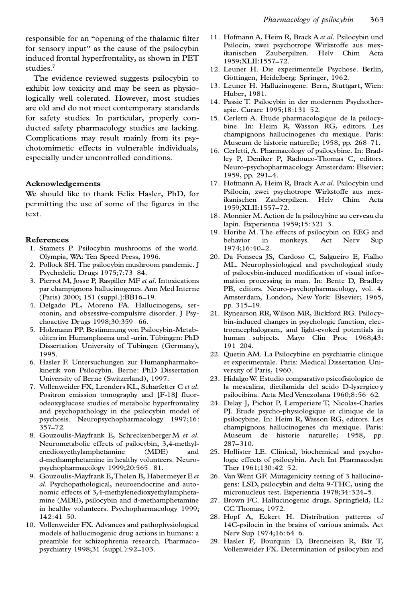responsible for an "opening of the thalamic filter for sensory input" as the cause of the psilocybin induced frontal hyperfrontality, as shown in PET studies.<sup>7</sup>

The evidence reviewed suggests psilocybin to exhibit low toxicity and may be seen as physiologically well tolerated. However, most studies are old and do not meet contemporary standards for safety studies. In particular, properly con ducted safety pharmacology studies are lacking. Complications may result mainly from its psychotomimetic effects in vulnerable individuals, especially under uncontrolled conditions.

### **Acknowledgements**

We should like to thank Felix Hasler, PhD, for permitting the use of some of the figures in the text.

#### **References**

- 1. Stamets P. Psilocybin mushrooms of the world. Olympia, WA: Ten Speed Press, 1996.
- 2. Pollock SH.The psilocybin mushroom pandemic. J Psychedelic Drugs 1975;7:73–84.
- 3. Pierrot M, Josse P, Raspiller MF *et al*. Intoxications par champignons hallucinogenes. Ann Med Interne (Paris) 2000; 151 (suppl.):BB16–19.
- 4. Delgado PL, Moreno FA. Hallucinogens, ser otonin, and obsessive-compulsive disorder. J Psychoactive Drugs 1998;30:359 –66.
- 5. Holzmann PP. Bestimmung von Psilocybin-Metaboliten im Humanplasma und -urin. Tübingen: PhD Dissertation University of Tübingen (Germany), 1995.
- 6. Hasler F. Untersuchungen zur Humanpharmakokinetik von Psilocybin. Berne: PhD Dissertation University of Berne (Switzerland), 1997.
- 7. Vollenweider FX, Leenders KL, Scharfetter C *et al*. Positron emission tomography and [F-18] fluorodeoxyglucose studies of metabolic hyperfrontality and psychopathology in the psilocybin model of psychosis. Neuropsychopharmacology 1997;16: 357–72.
- 8. Gouzoulis-Mayfrank E, Schreckenberger M *et al*. Neurometabolic effects of psilocybin, 3,4-methylenedioxyethylamphetamine (MDE) and d-methamphetamine in healthy volunteers. Neuropsychopharmacology 1999;20:565 –81.
- 9. Gouzoulis-Mayfrank E,Thelen B, Habermeyer E *et al*. Psychopathological, neuroendocrine and auto nomic effects of 3,4-methylenedioxyethylamphetamine (MDE), psilocybin and d-methamphetamine in healthy volunteers. Psychopharmacology 1999; 142:41–50.
- 10. Vollenweider FX. Advances and pathophysiological models of hallucinogenic drug actions in humans: a preamble for schizophrenia research. Pharmacopsychiatry 1998;31 (suppl.):92–103.
- 11. Hofmann A, Heim R, Brack A *et al*. Psilocybin und Psilocin, zwei psychotrope Wirkstoffe aus mexikanischen Zauberpilzen. Helv Chim Acta 1959;XLII:1557–72.
- 12. Leuner H. Die experimentelle Psychose. Berlin, Göttingen, Heidelberg: Springer, 1962.
- 13. Leuner H. Halluzinogene. Bern, Stuttgart, Wien: Huber, 1981.
- 14. Passie T. Psilocybin in der modernen Psychotherapie. Curare 1995;18:131–52.
- 15. Cerletti A. Etude pharmacologique de la psilocybine. In: Heim R, Wasson RG, editors. Les champignons hallucinogenes du mexique. Paris: Museum de historie naturelle; 1958, pp. 268–71.
- 16. Cerletti, A. Pharmacology of psilocybine. In: Bradley P, Deniker P, Radouco-Thomas C, editors. Neuro-psychopharmacology. Amsterdam: Elsevier; 1959, pp. 291–4.
- 17. Hofmann A, Heim R, Brack A *et al*. Psilocybin und Psilocin, zwei psychotrope Wirkstoffe aus mexikanischen Zauberpilzen. Helv Chim Acta 1959;XLII:1557–72.
- 18. Monnier M. Action de la psilocybine au cerveau du lapin. Experientia 1959;15:321–3.
- 19. Horibe M. The effects of psilocybin on EEG and behavior in monkeys. Act Nerv Sup 1974;16:40–2.
- 20. Da Fonseca JS, Cardoso C, Salgueiro E, Fialho ML. Neurophysiological and psychological study of psilocybin-induced modification of visual information processing in man. In: Bente D, Bradley PB, editors. Neuro-psychopharmacology, vol. 4. Amsterdam, London, New York: Elsevier; 1965, pp. 315–19.
- 21. Rynearson RR, Wilson MR, Bickford RG. Psilocybin-induced changes in psychologic function, electroencephalogram, and light-evoked potentials in human subjects. Mayo Clin Proc 1968;43: 191–204.
- 22. Quetin AM. La Psilocybine en psychiatrie clinique et experimentale. Paris: Medical Dissertation University of Paris, 1960.
- 23. HidalgoW. Estudio comparativo psicofisiologico de la mescalina, dietilamida del acido D-lysergico y psilocibina. Acta Med Venezolana 1960;8:56–62.
- 24. Delay J, Pichot P, Lemperiere T, Nicolas-Charles PJ. Etude psycho-physiologique et clinique de la psilocybine. In: Heim R, Wasson RG, editors. Les champignons hallucinogenes du mexique. Paris: Museum de historie naturelle; 1958, pp. 287–310.
- 25. Hollister LE. Clinical, biochemical and psychologic effects of psilocybin. Arch Int Pharmacodyn Ther 1961;130:42–52.
- 26. Van Went GF. Mutagenicity testing of 3 hallucinogens: LSD, psilocybin and delta 9-THC, using the micronucleus test. Experientia 1978;34:324–5.
- 27. Brown FC. Hallucinogenic drugs. Springfield, IL: CC Thomas; 1972.
- 28. Hopf A, Eckert H. Distribution patterns of 14C-psilocin in the brains of various animals. Act Nerv Sup 1974;16:64–6.
- 29. Hasler F, Bourquin D, Brenneisen R, Bär T, Vollenweider FX. Determination of psilocybin and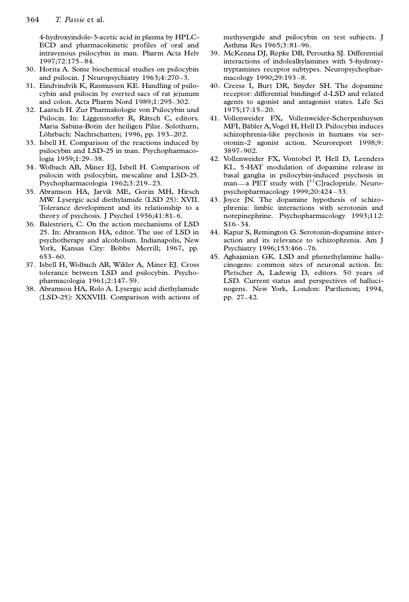4-hydroxyindole-3-acetic acid in plasma by HPLC-ECD and pharmacokinetic profiles of oral and intravenous psilocybin in man. Pharm Acta Helv 1997;72:175 –84.

- 30. Horita A. Some biochemical studies on psilocybin and psilocin. J Neuropsychiatry 1963;4:270–3.
- 31. Eindvindvik K, Rasmussen KE. Handling of psilocybin and psilocin by everted sacs of rat jejunum and colon. Acta Pharm Nord 1989;1:295–302.
- 32. Laatsch H. Zur Pharmakologie von Psilocybin und Psilocin. In: Liggenstorfer R, Rätsch C, editors. Maria Sabina-Botin der heiligen Pilze. Solothurn, Löhrbach: Nachtschatten; 1996, pp. 193-202.
- 33. Isbell H. Comparison of the reactions induced by psilocybin and LSD-25 in man. Psychopharmacologia 1959;1:29–38.
- 34. Wolbach AB, Miner EJ, Isbell H. Comparison of psilocin with psilocybin, mescaline and LSD-25. Psychopharmacologia 1962;3:219–23.
- 35. Abramson HA, Jarvik ME, Gorin MH, Hirsch MW. Lysergic acid diethylamide (LSD 25): XVII. Tolerance development and its relationship to a theory of psychosis. J Psychol 1956;41:81–6.
- 36. Balestrieri, C. On the action mechanisms of LSD 25. In: Abramson HA, editor. The use of LSD in psychotherapy and alcoholism. Indianapolis, New York, Kansas City: Bobbs Merrill; 1967, pp. 653–60.
- 37. Isbell H, Wolbach AB, Wikler A, Miner EJ. Cross tolerance between LSD and psilocybin. Psychopharmacologia 1961;2:147–59.
- 38. Abramson HA, Rolo A. Lysergic acid diethylamide (LSD-25): XXXVIII. Comparison with actions of

methysergide and psilocybin on test subjects. J Asthma Res 1965;3:81–96.

- 39. McKenna DJ, Repke DB, Peroutka SJ. Differential interactions of indolealkylamines with 5-hydroxytryptamines receptor subtypes. Neuropsychopharmacology 1990;29:193 –8.
- 40. Creese I, Burt DR, Snyder SH. The dopamine receptor: differential bindingof d-LSD and related agents to agonist and antagonist states. Life Sci 1975;17:15–20.
- 41. Vollenweider FX, Vollenweider-Scherpenhuysen MFI, Bäbler A, Vogel H, Hell D. Psilocybin induces schizophrenia-like psychosis in humans via ser otonin-2 agonist action. Neuroreport 1998;9: 3897–902.
- 42. Vollenweider FX, Vontobel P, Hell D, Leenders KL. 5-HAT modulation of dopamine release in basal ganglia in psilocybin-induced psychosis in man—a PET study with [<sup>11</sup>C]raclopride. Neuropsychopharmacology 1999;20:424 –33.
- 43. Joyce JN. The dopamine hypothesis of schizophrenia: limbic interactions with serotonin and norepinephrine. Psychopharmacology 1993;112: S16–34.
- 44. Kapur S, Remington G. Serotonin-dopamine interaction and its relevance to schizophrenia. Am J Psychiatry 1996;153:466 –76.
- 45. Aghajanian GK. LSD and phenethylamine hallucinogens: common sites of neuronal action. In: Pletscher A, Ladewig D, editors. 50 years of LSD. Current status and perspectives of hallucinogens. New York, London: Parthenon; 1994, pp. 27–42.